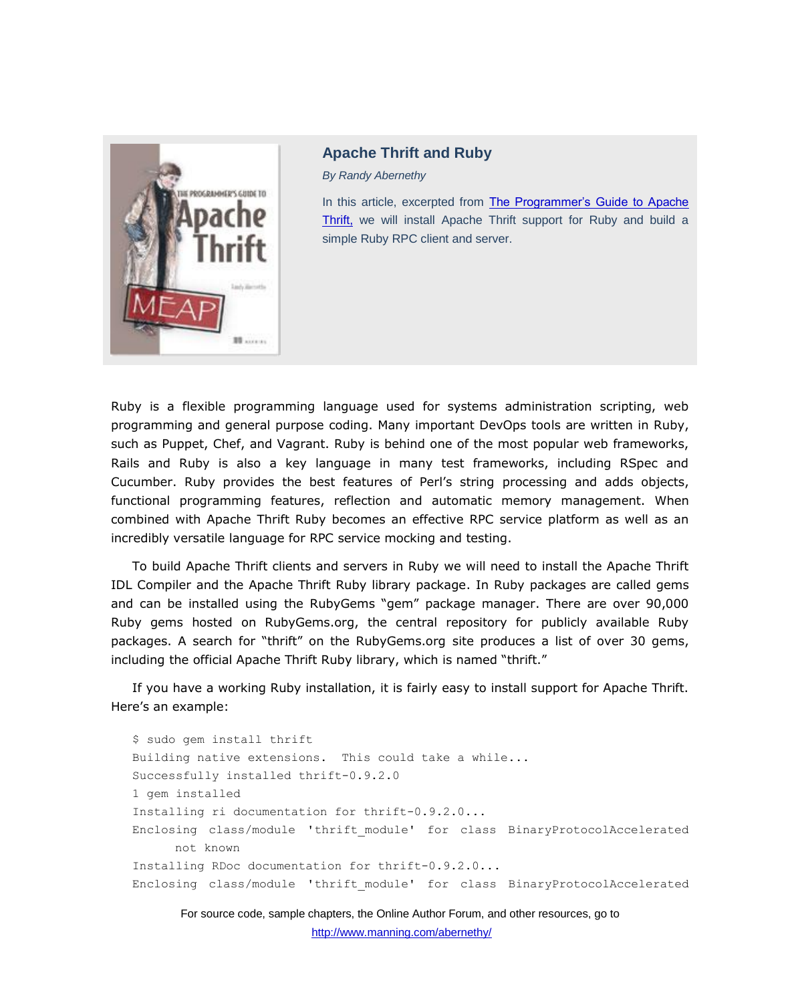

## **Apache Thrift and Ruby**

*By Randy Abernethy*

In this article, excerpted from [The Programmer's Guide to Apache](http://www.manning.com/abernethy/)  [Thrift,](http://www.manning.com/abernethy/) we will install Apache Thrift support for Ruby and build a simple Ruby RPC client and server.

Ruby is a flexible programming language used for systems administration scripting, web programming and general purpose coding. Many important DevOps tools are written in Ruby, such as Puppet, Chef, and Vagrant. Ruby is behind one of the most popular web frameworks, Rails and Ruby is also a key language in many test frameworks, including RSpec and Cucumber. Ruby provides the best features of Perl's string processing and adds objects, functional programming features, reflection and automatic memory management. When combined with Apache Thrift Ruby becomes an effective RPC service platform as well as an incredibly versatile language for RPC service mocking and testing.

To build Apache Thrift clients and servers in Ruby we will need to install the Apache Thrift IDL Compiler and the Apache Thrift Ruby library package. In Ruby packages are called gems and can be installed using the RubyGems "gem" package manager. There are over 90,000 Ruby gems hosted on RubyGems.org, the central repository for publicly available Ruby packages. A search for "thrift" on the RubyGems.org site produces a list of over 30 gems, including the official Apache Thrift Ruby library, which is named "thrift."

If you have a working Ruby installation, it is fairly easy to install support for Apache Thrift. Here's an example:

```
$ sudo gem install thrift 
Building native extensions. This could take a while... 
Successfully installed thrift-0.9.2.0 
1 gem installed 
Installing ri documentation for thrift-0.9.2.0... 
Enclosing class/module 'thrift_module' for class BinaryProtocolAccelerated 
      not known 
Installing RDoc documentation for thrift-0.9.2.0... 
Enclosing class/module 'thrift_module' for class BinaryProtocolAccelerated
```
For source code, sample chapters, the Online Author Forum, and other resources, go to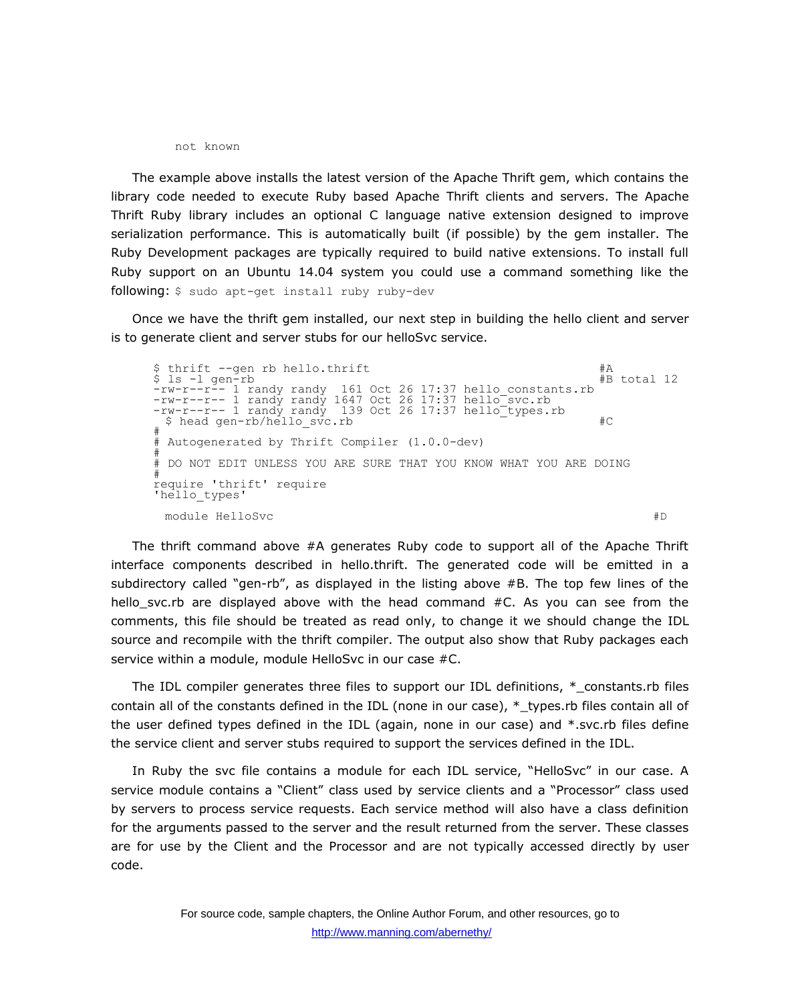not known

The example above installs the latest version of the Apache Thrift gem, which contains the library code needed to execute Ruby based Apache Thrift clients and servers. The Apache Thrift Ruby library includes an optional C language native extension designed to improve serialization performance. This is automatically built (if possible) by the gem installer. The Ruby Development packages are typically required to build native extensions. To install full Ruby support on an Ubuntu 14.04 system you could use a command something like the following: \$ sudo apt-get install ruby ruby-dev

Once we have the thrift gem installed, our next step in building the hello client and server is to generate client and server stubs for our helloSvc service.

\$ thrift --gen rb hello.thrift #A #A #B total 12<br>\$ 1s -1 gen-rb #B total 12 \$ ls -l gen-rb #B total 12 -rw-r--r-- 1 randy randy 161 Oct 26 17:37 hello\_constants.rb -rw-r--r-- 1 randy randy 1647 Oct 26 17:37 hello\_svc.rb -rw-r--r-- 1 randy randy 139 Oct 26 17:37 hello types.rb \$ head gen-rb/hello svc.rb  $\qquad$  #C # # Autogenerated by Thrift Compiler (1.0.0-dev) # # DO NOT EDIT UNLESS YOU ARE SURE THAT YOU KNOW WHAT YOU ARE DOING # require 'thrift' require 'hello\_types' module HelloSvc  $\#D$ 

The thrift command above #A generates Ruby code to support all of the Apache Thrift interface components described in hello.thrift. The generated code will be emitted in a subdirectory called "gen-rb", as displayed in the listing above #B. The top few lines of the hello svc.rb are displayed above with the head command  $#C$ . As you can see from the comments, this file should be treated as read only, to change it we should change the IDL source and recompile with the thrift compiler. The output also show that Ruby packages each service within a module, module HelloSvc in our case #C.

The IDL compiler generates three files to support our IDL definitions,  $*$  constants.rb files contain all of the constants defined in the IDL (none in our case), \*\_types.rb files contain all of the user defined types defined in the IDL (again, none in our case) and \*.svc.rb files define the service client and server stubs required to support the services defined in the IDL.

In Ruby the svc file contains a module for each IDL service, "HelloSvc" in our case. A service module contains a "Client" class used by service clients and a "Processor" class used by servers to process service requests. Each service method will also have a class definition for the arguments passed to the server and the result returned from the server. These classes are for use by the Client and the Processor and are not typically accessed directly by user code.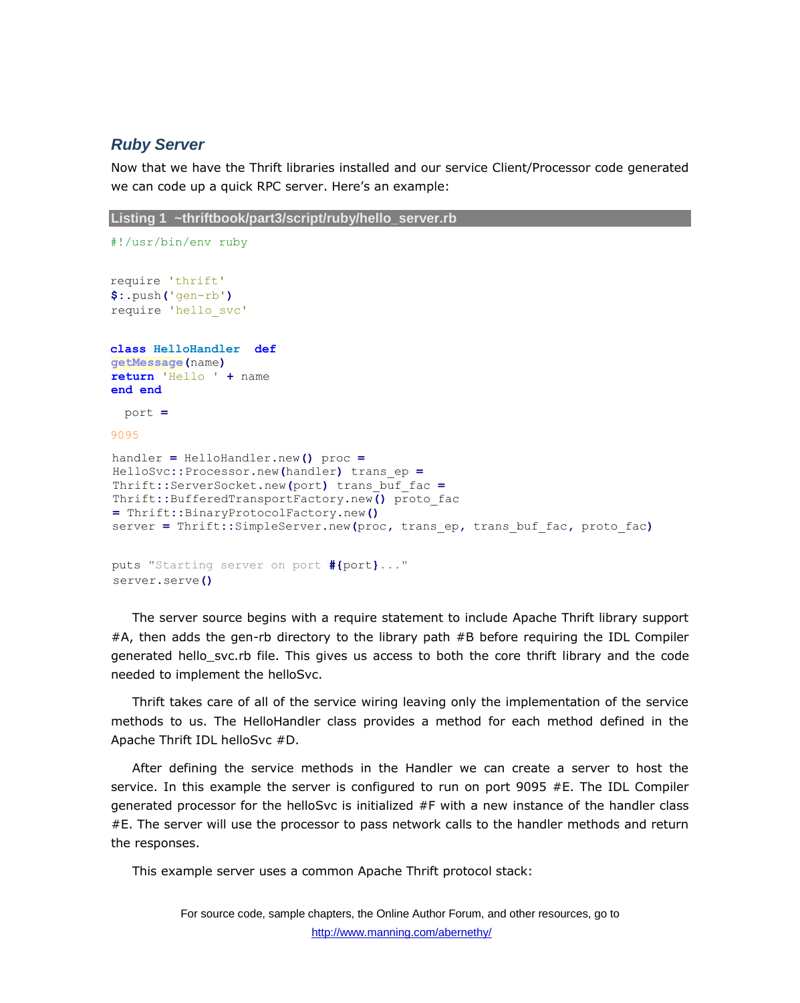## *Ruby Server*

Now that we have the Thrift libraries installed and our service Client/Processor code generated we can code up a quick RPC server. Here's an example:

```
Listing 1 ~thriftbook/part3/script/ruby/hello_server.rb
```

```
#!/usr/bin/env ruby
require 'thrift'
$:.push('gen-rb')
require 'hello_svc'
class HelloHandler def
getMessage(name) 
return 'Hello ' + name 
end end
  port =
9095
handler = HelloHandler.new() proc =
HelloSvc::Processor.new(handler) trans_ep =
Thrift::ServerSocket.new(port) trans_buf_fac =
Thrift::BufferedTransportFactory.new() proto_fac 
= Thrift::BinaryProtocolFactory.new()
server = Thrift::SimpleServer.new(proc, trans_ep, trans_buf_fac, proto_fac)
puts "Starting server on port #{port}..."
server.serve()
```
The server source begins with a require statement to include Apache Thrift library support #A, then adds the gen-rb directory to the library path #B before requiring the IDL Compiler generated hello\_svc.rb file. This gives us access to both the core thrift library and the code needed to implement the helloSvc.

Thrift takes care of all of the service wiring leaving only the implementation of the service methods to us. The HelloHandler class provides a method for each method defined in the Apache Thrift IDL helloSvc #D.

After defining the service methods in the Handler we can create a server to host the service. In this example the server is configured to run on port 9095 #E. The IDL Compiler generated processor for the helloSvc is initialized #F with a new instance of the handler class #E. The server will use the processor to pass network calls to the handler methods and return the responses.

This example server uses a common Apache Thrift protocol stack: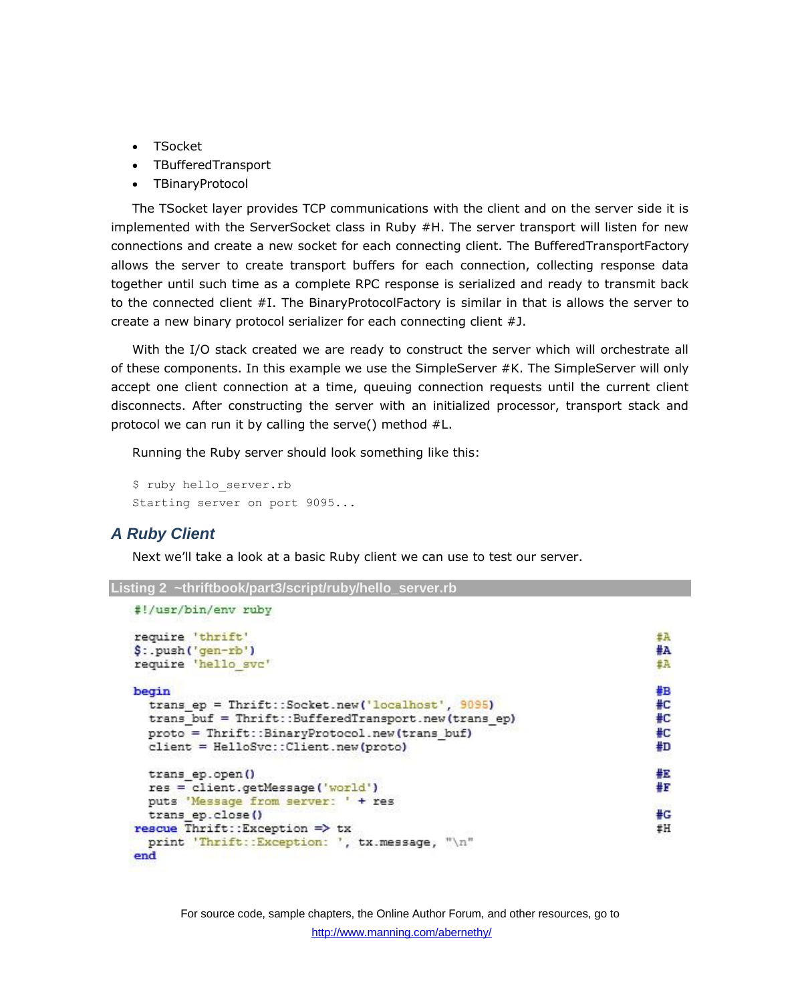- TSocket
- TBufferedTransport
- TBinaryProtocol

The TSocket layer provides TCP communications with the client and on the server side it is implemented with the ServerSocket class in Ruby #H. The server transport will listen for new connections and create a new socket for each connecting client. The BufferedTransportFactory allows the server to create transport buffers for each connection, collecting response data together until such time as a complete RPC response is serialized and ready to transmit back to the connected client #I. The BinaryProtocolFactory is similar in that is allows the server to create a new binary protocol serializer for each connecting client #J.

With the I/O stack created we are ready to construct the server which will orchestrate all of these components. In this example we use the SimpleServer #K. The SimpleServer will only accept one client connection at a time, queuing connection requests until the current client disconnects. After constructing the server with an initialized processor, transport stack and protocol we can run it by calling the serve() method #L.

Running the Ruby server should look something like this:

```
$ ruby hello server.rb
Starting server on port 9095...
```
## *A Ruby Client*

Next we'll take a look at a basic Ruby client we can use to test our server.

```
Listing 2 ~thriftbook/part3/script/ruby/hello_server.rb
```

```
#!/usr/bin/env ruby
require 'thrift'
                                                                           丑正
                                                                           #A
$: .push ('gen-rb')
require 'hello svc'
                                                                           #A
                                                                           #B
begin
  trans ep = Thrift::Socket.new('localhost', 9095)
                                                                           #C
  trans buf = Thrift::BufferedTransport.new(trans ep)
                                                                           #C
  proto = Thrift::BinaryProtocol.new(trans buf)
                                                                           #C
  client = HelloSvc:: Client.new(proto)
                                                                           #D
                                                                           报
  trans ep.open()
                                                                           #F
  res = client.getMessage('world')
  puts 'Message from server: ' + res
                                                                           #G
  trans ep.close()
rescue Thrift:: Exception => tx
                                                                           #H
  print 'Thrift::Exception: ', tx.message, "\n"
end
```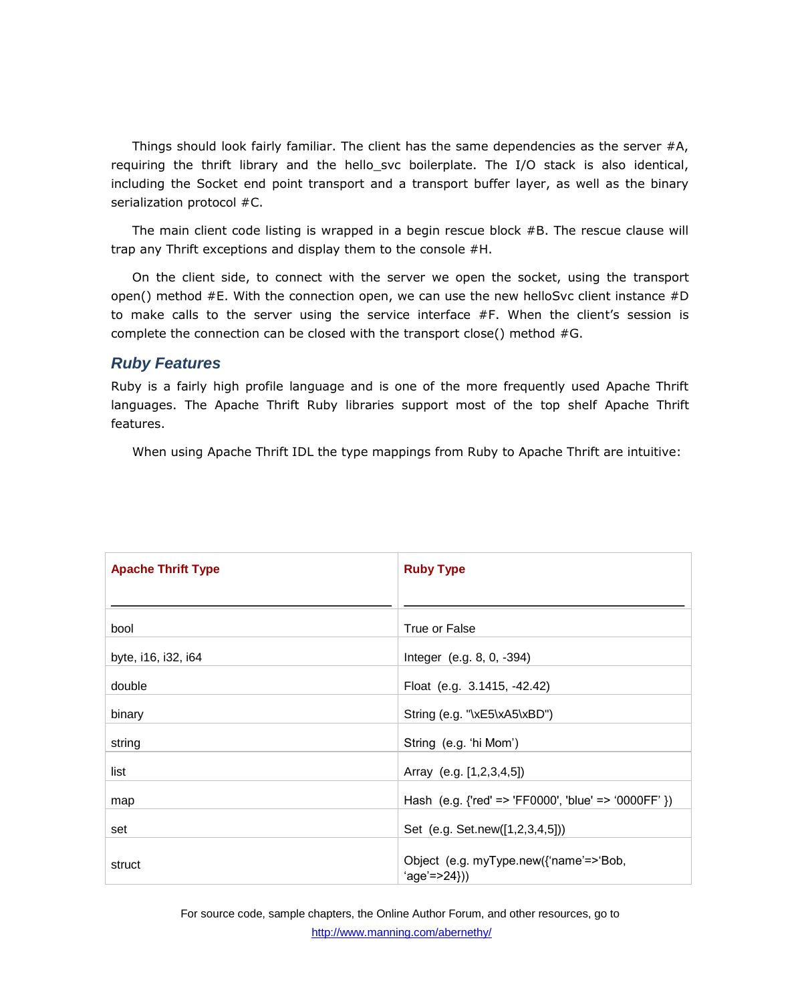Things should look fairly familiar. The client has the same dependencies as the server #A, requiring the thrift library and the hello svc boilerplate. The I/O stack is also identical, including the Socket end point transport and a transport buffer layer, as well as the binary serialization protocol #C.

The main client code listing is wrapped in a begin rescue block #B. The rescue clause will trap any Thrift exceptions and display them to the console #H.

On the client side, to connect with the server we open the socket, using the transport open() method #E. With the connection open, we can use the new helloSvc client instance #D to make calls to the server using the service interface #F. When the client's session is complete the connection can be closed with the transport close() method #G.

## *Ruby Features*

Ruby is a fairly high profile language and is one of the more frequently used Apache Thrift languages. The Apache Thrift Ruby libraries support most of the top shelf Apache Thrift features.

When using Apache Thrift IDL the type mappings from Ruby to Apache Thrift are intuitive:

| <b>Apache Thrift Type</b> | <b>Ruby Type</b>                                           |
|---------------------------|------------------------------------------------------------|
|                           |                                                            |
| bool                      | True or False                                              |
| byte, i16, i32, i64       | Integer (e.g. 8, 0, -394)                                  |
| double                    | Float (e.g. 3.1415, -42.42)                                |
| binary                    | String (e.g. "\xE5\xA5\xBD")                               |
| string                    | String (e.g. 'hi Mom')                                     |
| list                      | Array (e.g. [1,2,3,4,5])                                   |
| map                       | Hash (e.g. {'red' => 'FF0000', 'blue' => '0000FF' })       |
| set                       | Set (e.g. Set.new([1,2,3,4,5]))                            |
| struct                    | Object (e.g. myType.new({'name'=>'Bob,<br>$'age' = > 24})$ |

For source code, sample chapters, the Online Author Forum, and other resources, go to http://www.manning.com/abernethy/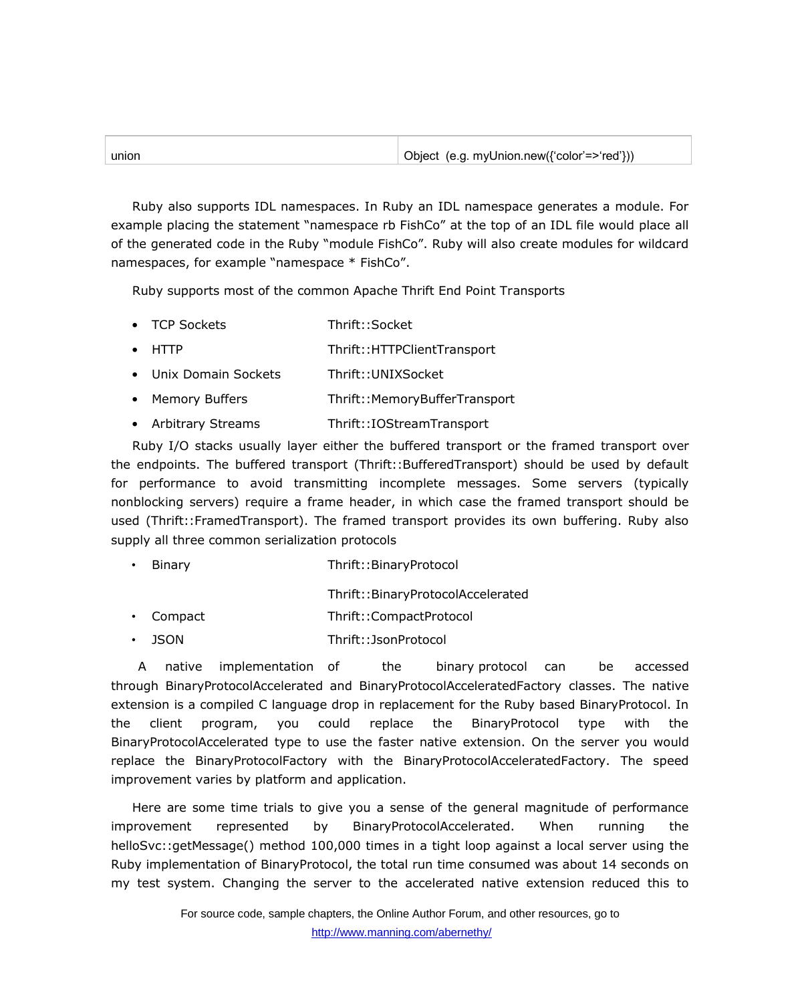| unior | Object (e.g. myUnion.new({'color'=>'red'})) |
|-------|---------------------------------------------|
|       |                                             |

Ruby also supports IDL namespaces. In Ruby an IDL namespace generates a module. For example placing the statement "namespace rb FishCo" at the top of an IDL file would place all of the generated code in the Ruby "module FishCo". Ruby will also create modules for wildcard namespaces, for example "namespace \* FishCo".

Ruby supports most of the common Apache Thrift End Point Transports

- TCP Sockets Thrift::Socket
- HTTP Thrift::HTTPClientTransport
- Unix Domain Sockets Thrift::UNIXSocket
- Memory Buffers Thrift::MemoryBufferTransport
- Arbitrary Streams Thrift::IOStreamTransport

Ruby I/O stacks usually layer either the buffered transport or the framed transport over the endpoints. The buffered transport (Thrift::BufferedTransport) should be used by default for performance to avoid transmitting incomplete messages. Some servers (typically nonblocking servers) require a frame header, in which case the framed transport should be used (Thrift::FramedTransport). The framed transport provides its own buffering. Ruby also supply all three common serialization protocols

| $\bullet$ | Binary | Thrift::BinaryProtocol |
|-----------|--------|------------------------|
|           |        |                        |

Thrift::BinaryProtocolAccelerated

- Compact Thrift::CompactProtocol
- JSON Thrift::JsonProtocol

A native implementation of the binary protocol can be accessed through BinaryProtocolAccelerated and BinaryProtocolAcceleratedFactory classes. The native extension is a compiled C language drop in replacement for the Ruby based BinaryProtocol. In the client program, you could replace the BinaryProtocol type with the BinaryProtocolAccelerated type to use the faster native extension. On the server you would replace the BinaryProtocolFactory with the BinaryProtocolAcceleratedFactory. The speed improvement varies by platform and application.

Here are some time trials to give you a sense of the general magnitude of performance improvement represented by BinaryProtocolAccelerated. When running the helloSvc::getMessage() method 100,000 times in a tight loop against a local server using the Ruby implementation of BinaryProtocol, the total run time consumed was about 14 seconds on my test system. Changing the server to the accelerated native extension reduced this to